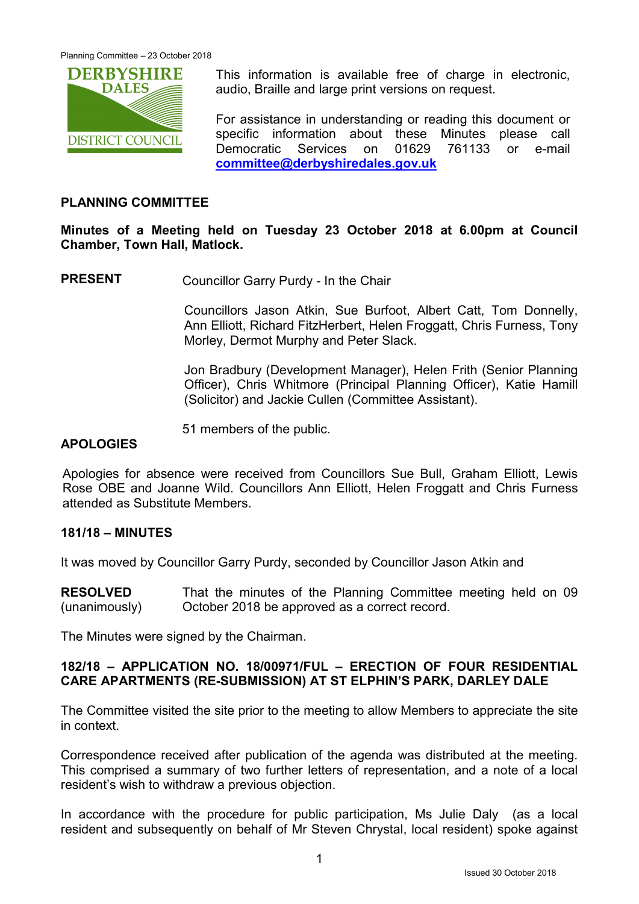

This information is available free of charge in electronic, audio, Braille and large print versions on request.

For assistance in understanding or reading this document or specific information about these Minutes please call Democratic Services on 01629 761133 or e-mail committee@derbyshiredales.gov.uk

### PLANNING COMMITTEE

Minutes of a Meeting held on Tuesday 23 October 2018 at 6.00pm at Council Chamber, Town Hall, Matlock.

PRESENT Councillor Garry Purdy - In the Chair

 Councillors Jason Atkin, Sue Burfoot, Albert Catt, Tom Donnelly, Ann Elliott, Richard FitzHerbert, Helen Froggatt, Chris Furness, Tony Morley, Dermot Murphy and Peter Slack.

Jon Bradbury (Development Manager), Helen Frith (Senior Planning Officer), Chris Whitmore (Principal Planning Officer), Katie Hamill (Solicitor) and Jackie Cullen (Committee Assistant).

51 members of the public.

### **APOLOGIES**

Apologies for absence were received from Councillors Sue Bull, Graham Elliott, Lewis Rose OBE and Joanne Wild. Councillors Ann Elliott, Helen Froggatt and Chris Furness attended as Substitute Members.

### 181/18 – MINUTES

It was moved by Councillor Garry Purdy, seconded by Councillor Jason Atkin and

RESOLVED (unanimously) That the minutes of the Planning Committee meeting held on 09 October 2018 be approved as a correct record.

The Minutes were signed by the Chairman.

# 182/18 – APPLICATION NO. 18/00971/FUL – ERECTION OF FOUR RESIDENTIAL CARE APARTMENTS (RE-SUBMISSION) AT ST ELPHIN'S PARK, DARLEY DALE

The Committee visited the site prior to the meeting to allow Members to appreciate the site in context.

Correspondence received after publication of the agenda was distributed at the meeting. This comprised a summary of two further letters of representation, and a note of a local resident's wish to withdraw a previous objection.

In accordance with the procedure for public participation, Ms Julie Daly (as a local resident and subsequently on behalf of Mr Steven Chrystal, local resident) spoke against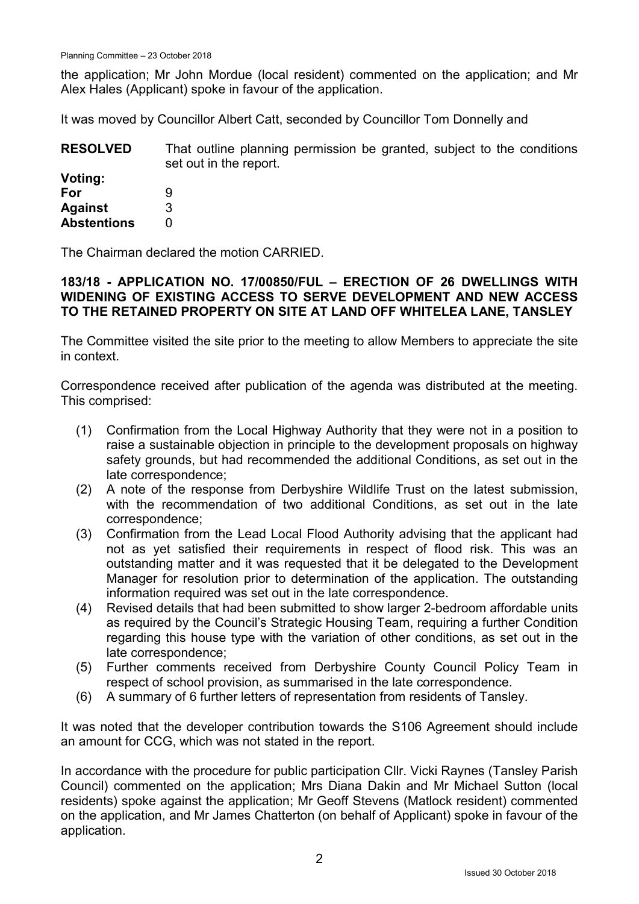the application; Mr John Mordue (local resident) commented on the application; and Mr Alex Hales (Applicant) spoke in favour of the application.

It was moved by Councillor Albert Catt, seconded by Councillor Tom Donnelly and

| <b>RESOLVED</b> | That outline planning permission be granted, subject to the conditions |
|-----------------|------------------------------------------------------------------------|
|                 | set out in the report.                                                 |
| Voting:         |                                                                        |

| vvuug.             |   |
|--------------------|---|
| For                | 9 |
| <b>Against</b>     | 3 |
| <b>Abstentions</b> | O |

The Chairman declared the motion CARRIED.

# 183/18 - APPLICATION NO. 17/00850/FUL – ERECTION OF 26 DWELLINGS WITH WIDENING OF EXISTING ACCESS TO SERVE DEVELOPMENT AND NEW ACCESS TO THE RETAINED PROPERTY ON SITE AT LAND OFF WHITELEA LANE, TANSLEY

The Committee visited the site prior to the meeting to allow Members to appreciate the site in context.

Correspondence received after publication of the agenda was distributed at the meeting. This comprised:

- (1) Confirmation from the Local Highway Authority that they were not in a position to raise a sustainable objection in principle to the development proposals on highway safety grounds, but had recommended the additional Conditions, as set out in the late correspondence;
- (2) A note of the response from Derbyshire Wildlife Trust on the latest submission, with the recommendation of two additional Conditions, as set out in the late correspondence;
- (3) Confirmation from the Lead Local Flood Authority advising that the applicant had not as yet satisfied their requirements in respect of flood risk. This was an outstanding matter and it was requested that it be delegated to the Development Manager for resolution prior to determination of the application. The outstanding information required was set out in the late correspondence.
- (4) Revised details that had been submitted to show larger 2-bedroom affordable units as required by the Council's Strategic Housing Team, requiring a further Condition regarding this house type with the variation of other conditions, as set out in the late correspondence;
- (5) Further comments received from Derbyshire County Council Policy Team in respect of school provision, as summarised in the late correspondence.
- (6) A summary of 6 further letters of representation from residents of Tansley.

It was noted that the developer contribution towards the S106 Agreement should include an amount for CCG, which was not stated in the report.

In accordance with the procedure for public participation Cllr. Vicki Raynes (Tansley Parish Council) commented on the application; Mrs Diana Dakin and Mr Michael Sutton (local residents) spoke against the application; Mr Geoff Stevens (Matlock resident) commented on the application, and Mr James Chatterton (on behalf of Applicant) spoke in favour of the application.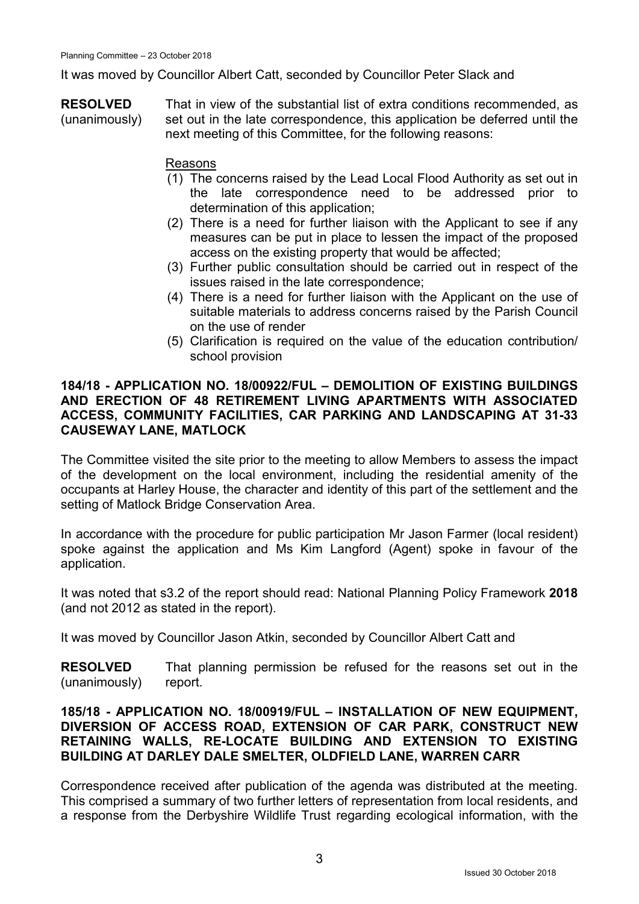It was moved by Councillor Albert Catt, seconded by Councillor Peter Slack and

RESOLVED (unanimously) That in view of the substantial list of extra conditions recommended, as set out in the late correspondence, this application be deferred until the next meeting of this Committee, for the following reasons:

### Reasons

- (1) The concerns raised by the Lead Local Flood Authority as set out in the late correspondence need to be addressed prior to determination of this application;
- (2) There is a need for further liaison with the Applicant to see if any measures can be put in place to lessen the impact of the proposed access on the existing property that would be affected;
- (3) Further public consultation should be carried out in respect of the issues raised in the late correspondence;
- (4) There is a need for further liaison with the Applicant on the use of suitable materials to address concerns raised by the Parish Council on the use of render
- (5) Clarification is required on the value of the education contribution/ school provision

### 184/18 - APPLICATION NO. 18/00922/FUL – DEMOLITION OF EXISTING BUILDINGS AND ERECTION OF 48 RETIREMENT LIVING APARTMENTS WITH ASSOCIATED ACCESS, COMMUNITY FACILITIES, CAR PARKING AND LANDSCAPING AT 31-33 CAUSEWAY LANE, MATLOCK

The Committee visited the site prior to the meeting to allow Members to assess the impact of the development on the local environment, including the residential amenity of the occupants at Harley House, the character and identity of this part of the settlement and the setting of Matlock Bridge Conservation Area.

In accordance with the procedure for public participation Mr Jason Farmer (local resident) spoke against the application and Ms Kim Langford (Agent) spoke in favour of the application.

It was noted that s3.2 of the report should read: National Planning Policy Framework 2018 (and not 2012 as stated in the report).

It was moved by Councillor Jason Atkin, seconded by Councillor Albert Catt and

RESOLVED (unanimously) That planning permission be refused for the reasons set out in the report.

# 185/18 - APPLICATION NO. 18/00919/FUL – INSTALLATION OF NEW EQUIPMENT, DIVERSION OF ACCESS ROAD, EXTENSION OF CAR PARK, CONSTRUCT NEW RETAINING WALLS, RE-LOCATE BUILDING AND EXTENSION TO EXISTING BUILDING AT DARLEY DALE SMELTER, OLDFIELD LANE, WARREN CARR

Correspondence received after publication of the agenda was distributed at the meeting. This comprised a summary of two further letters of representation from local residents, and a response from the Derbyshire Wildlife Trust regarding ecological information, with the